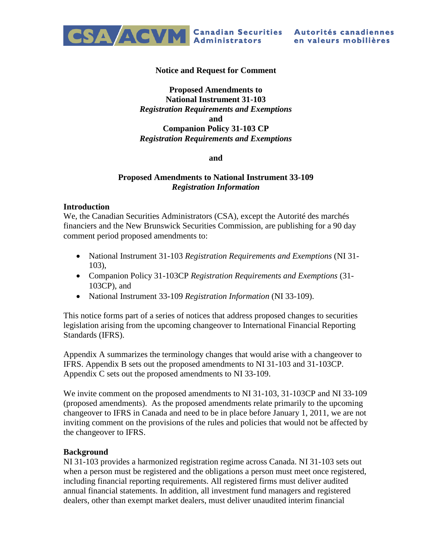

#### **Notice and Request for Comment**

## **Proposed Amendments to National Instrument 31-103** *Registration Requirements and Exemptions* **and Companion Policy 31-103 CP** *Registration Requirements and Exemptions*

#### **and**

### **Proposed Amendments to National Instrument 33-109** *Registration Information*

#### **Introduction**

We, the Canadian Securities Administrators (CSA), except the Autorité des marchés financiers and the New Brunswick Securities Commission, are publishing for a 90 day comment period proposed amendments to:

- National Instrument 31-103 *Registration Requirements and Exemptions* (NI 31- 103),
- Companion Policy 31-103CP *Registration Requirements and Exemptions* (31- 103CP), and
- National Instrument 33-109 *Registration Information* (NI 33-109).

This notice forms part of a series of notices that address proposed changes to securities legislation arising from the upcoming changeover to International Financial Reporting Standards (IFRS).

Appendix A summarizes the terminology changes that would arise with a changeover to IFRS. Appendix B sets out the proposed amendments to NI 31-103 and 31-103CP. Appendix C sets out the proposed amendments to NI 33-109.

We invite comment on the proposed amendments to NI 31-103, 31-103CP and NI 33-109 (proposed amendments). As the proposed amendments relate primarily to the upcoming changeover to IFRS in Canada and need to be in place before January 1, 2011, we are not inviting comment on the provisions of the rules and policies that would not be affected by the changeover to IFRS.

### **Background**

NI 31-103 provides a harmonized registration regime across Canada. NI 31-103 sets out when a person must be registered and the obligations a person must meet once registered, including financial reporting requirements. All registered firms must deliver audited annual financial statements. In addition, all investment fund managers and registered dealers, other than exempt market dealers, must deliver unaudited interim financial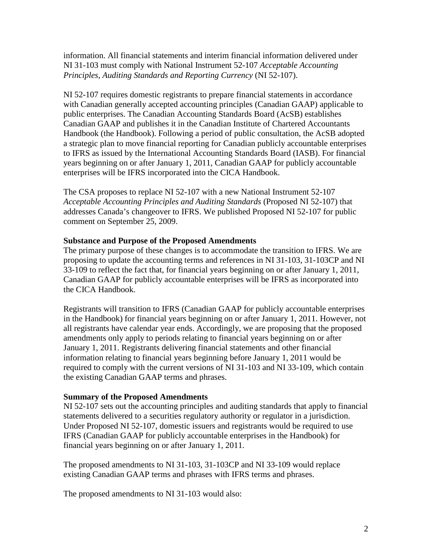information. All financial statements and interim financial information delivered under NI 31-103 must comply with National Instrument 52-107 *Acceptable Accounting Principles, Auditing Standards and Reporting Currency* (NI 52-107).

NI 52-107 requires domestic registrants to prepare financial statements in accordance with Canadian generally accepted accounting principles (Canadian GAAP) applicable to public enterprises. The Canadian Accounting Standards Board (AcSB) establishes Canadian GAAP and publishes it in the Canadian Institute of Chartered Accountants Handbook (the Handbook). Following a period of public consultation, the AcSB adopted a strategic plan to move financial reporting for Canadian publicly accountable enterprises to IFRS as issued by the International Accounting Standards Board (IASB). For financial years beginning on or after January 1, 2011, Canadian GAAP for publicly accountable enterprises will be IFRS incorporated into the CICA Handbook.

The CSA proposes to replace NI 52-107 with a new National Instrument 52-107 *Acceptable Accounting Principles and Auditing Standards* (Proposed NI 52-107) that addresses Canada's changeover to IFRS. We published Proposed NI 52-107 for public comment on September 25, 2009.

## **Substance and Purpose of the Proposed Amendments**

The primary purpose of these changes is to accommodate the transition to IFRS. We are proposing to update the accounting terms and references in NI 31-103, 31-103CP and NI 33-109 to reflect the fact that, for financial years beginning on or after January 1, 2011, Canadian GAAP for publicly accountable enterprises will be IFRS as incorporated into the CICA Handbook.

Registrants will transition to IFRS (Canadian GAAP for publicly accountable enterprises in the Handbook) for financial years beginning on or after January 1, 2011. However, not all registrants have calendar year ends. Accordingly, we are proposing that the proposed amendments only apply to periods relating to financial years beginning on or after January 1, 2011. Registrants delivering financial statements and other financial information relating to financial years beginning before January 1, 2011 would be required to comply with the current versions of NI 31-103 and NI 33-109, which contain the existing Canadian GAAP terms and phrases.

### **Summary of the Proposed Amendments**

NI 52-107 sets out the accounting principles and auditing standards that apply to financial statements delivered to a securities regulatory authority or regulator in a jurisdiction. Under Proposed NI 52-107, domestic issuers and registrants would be required to use IFRS (Canadian GAAP for publicly accountable enterprises in the Handbook) for financial years beginning on or after January 1, 2011.

The proposed amendments to NI 31-103, 31-103CP and NI 33-109 would replace existing Canadian GAAP terms and phrases with IFRS terms and phrases.

The proposed amendments to NI 31-103 would also: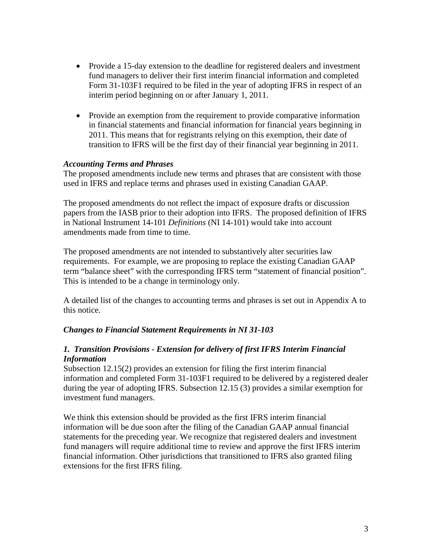- Provide a 15-day extension to the deadline for registered dealers and investment fund managers to deliver their first interim financial information and completed Form 31-103F1 required to be filed in the year of adopting IFRS in respect of an interim period beginning on or after January 1, 2011.
- Provide an exemption from the requirement to provide comparative information in financial statements and financial information for financial years beginning in 2011. This means that for registrants relying on this exemption, their date of transition to IFRS will be the first day of their financial year beginning in 2011.

### *Accounting Terms and Phrases*

The proposed amendments include new terms and phrases that are consistent with those used in IFRS and replace terms and phrases used in existing Canadian GAAP.

The proposed amendments do not reflect the impact of exposure drafts or discussion papers from the IASB prior to their adoption into IFRS. The proposed definition of IFRS in National Instrument 14-101 *Definitions* (NI 14-101) would take into account amendments made from time to time.

The proposed amendments are not intended to substantively alter securities law requirements. For example, we are proposing to replace the existing Canadian GAAP term "balance sheet" with the corresponding IFRS term "statement of financial position". This is intended to be a change in terminology only.

A detailed list of the changes to accounting terms and phrases is set out in Appendix A to this notice.

### *Changes to Financial Statement Requirements in NI 31-103*

## *1. Transition Provisions - Extension for delivery of first IFRS Interim Financial Information*

Subsection 12.15(2) provides an extension for filing the first interim financial information and completed Form 31-103F1 required to be delivered by a registered dealer during the year of adopting IFRS. Subsection 12.15 (3) provides a similar exemption for investment fund managers.

We think this extension should be provided as the first IFRS interim financial information will be due soon after the filing of the Canadian GAAP annual financial statements for the preceding year. We recognize that registered dealers and investment fund managers will require additional time to review and approve the first IFRS interim financial information. Other jurisdictions that transitioned to IFRS also granted filing extensions for the first IFRS filing.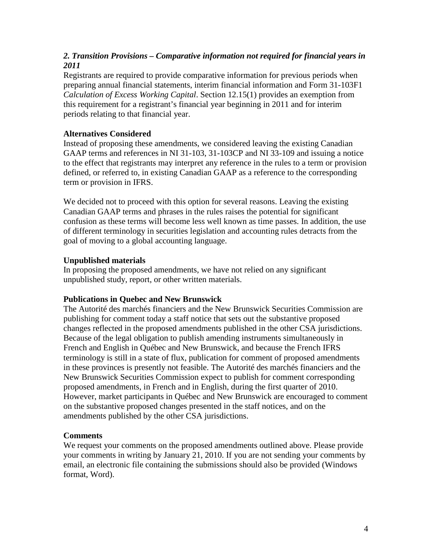# *2. Transition Provisions – Comparative information not required for financial years in 2011*

Registrants are required to provide comparative information for previous periods when preparing annual financial statements, interim financial information and Form 31-103F1 *Calculation of Excess Working Capital*. Section 12.15(1) provides an exemption from this requirement for a registrant's financial year beginning in 2011 and for interim periods relating to that financial year.

# **Alternatives Considered**

Instead of proposing these amendments, we considered leaving the existing Canadian GAAP terms and references in NI 31-103, 31-103CP and NI 33-109 and issuing a notice to the effect that registrants may interpret any reference in the rules to a term or provision defined, or referred to, in existing Canadian GAAP as a reference to the corresponding term or provision in IFRS.

We decided not to proceed with this option for several reasons. Leaving the existing Canadian GAAP terms and phrases in the rules raises the potential for significant confusion as these terms will become less well known as time passes. In addition, the use of different terminology in securities legislation and accounting rules detracts from the goal of moving to a global accounting language.

# **Unpublished materials**

In proposing the proposed amendments, we have not relied on any significant unpublished study, report, or other written materials.

# **Publications in Quebec and New Brunswick**

The Autorité des marchés financiers and the New Brunswick Securities Commission are publishing for comment today a staff notice that sets out the substantive proposed changes reflected in the proposed amendments published in the other CSA jurisdictions. Because of the legal obligation to publish amending instruments simultaneously in French and English in Québec and New Brunswick, and because the French IFRS terminology is still in a state of flux, publication for comment of proposed amendments in these provinces is presently not feasible. The Autorité des marchés financiers and the New Brunswick Securities Commission expect to publish for comment corresponding proposed amendments, in French and in English, during the first quarter of 2010. However, market participants in Québec and New Brunswick are encouraged to comment on the substantive proposed changes presented in the staff notices, and on the amendments published by the other CSA jurisdictions.

# **Comments**

We request your comments on the proposed amendments outlined above. Please provide your comments in writing by January 21, 2010. If you are not sending your comments by email, an electronic file containing the submissions should also be provided (Windows format, Word).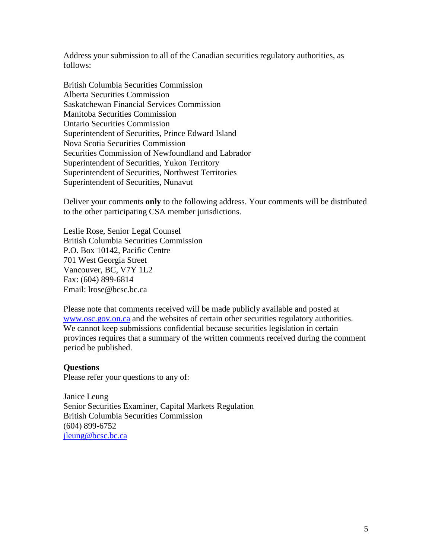Address your submission to all of the Canadian securities regulatory authorities, as follows:

British Columbia Securities Commission Alberta Securities Commission Saskatchewan Financial Services Commission Manitoba Securities Commission Ontario Securities Commission Superintendent of Securities, Prince Edward Island Nova Scotia Securities Commission Securities Commission of Newfoundland and Labrador Superintendent of Securities, Yukon Territory Superintendent of Securities, Northwest Territories Superintendent of Securities, Nunavut

Deliver your comments **only** to the following address. Your comments will be distributed to the other participating CSA member jurisdictions.

Leslie Rose, Senior Legal Counsel British Columbia Securities Commission P.O. Box 10142, Pacific Centre 701 West Georgia Street Vancouver, BC, V7Y 1L2 Fax: (604) 899-6814 Email: lrose@bcsc.bc.ca

Please note that comments received will be made publicly available and posted at [www.osc.gov.on.ca](http://www.osc.gov.on.ca/) and the websites of certain other securities regulatory authorities. We cannot keep submissions confidential because securities legislation in certain provinces requires that a summary of the written comments received during the comment period be published.

#### **Questions**

Please refer your questions to any of:

Janice Leung Senior Securities Examiner, Capital Markets Regulation British Columbia Securities Commission (604) 899-6752 [jleung@bcsc.bc.ca](mailto:jleung@bcsc.bc.ca)